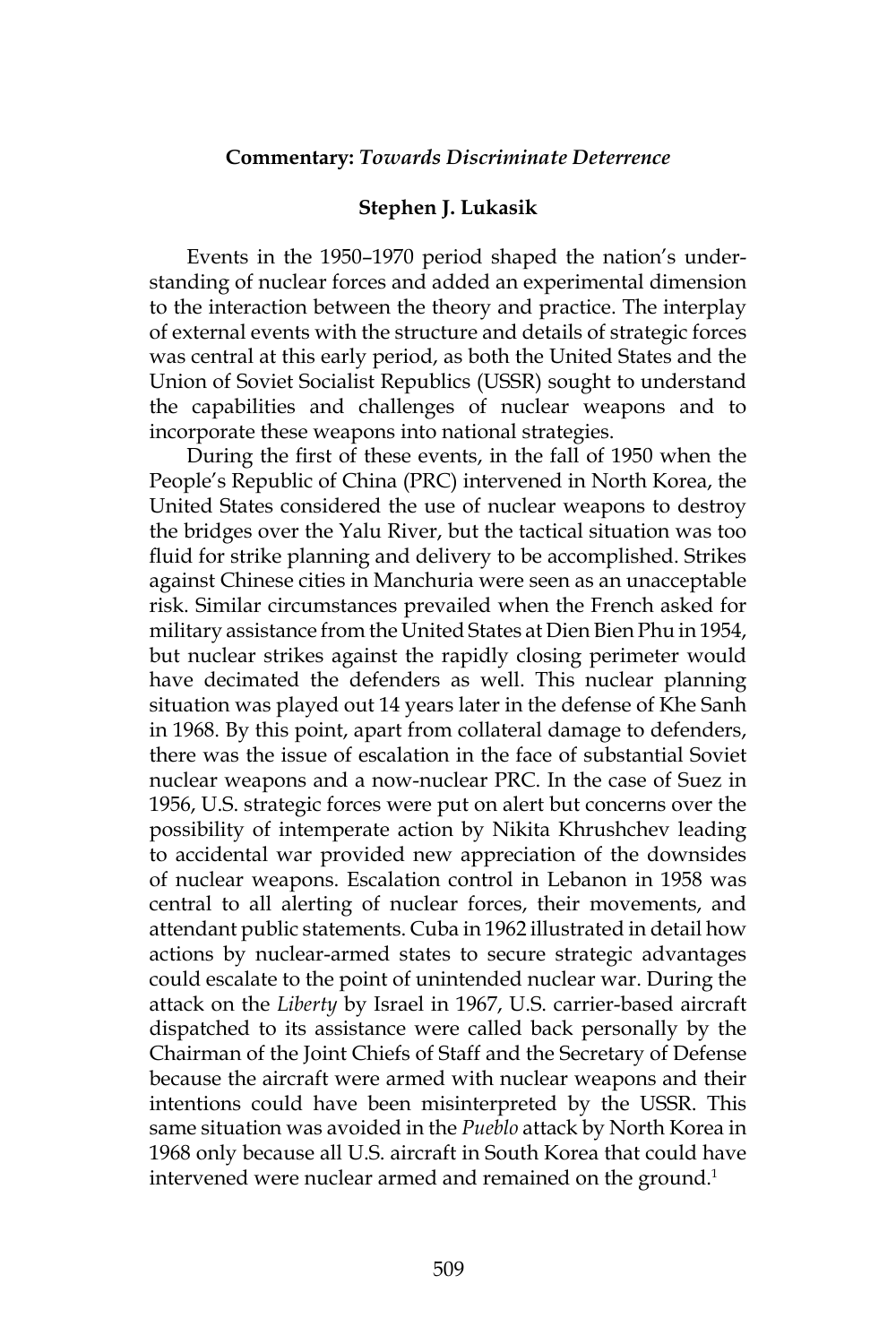#### **Commentary:** *Towards Discriminate Deterrence*

#### **Stephen J. Lukasik**

Events in the 1950–1970 period shaped the nation's understanding of nuclear forces and added an experimental dimension to the interaction between the theory and practice. The interplay of external events with the structure and details of strategic forces was central at this early period, as both the United States and the Union of Soviet Socialist Republics (USSR) sought to understand the capabilities and challenges of nuclear weapons and to incorporate these weapons into national strategies.

During the first of these events, in the fall of 1950 when the People's Republic of China (PRC) intervened in North Korea, the United States considered the use of nuclear weapons to destroy the bridges over the Yalu River, but the tactical situation was too fluid for strike planning and delivery to be accomplished. Strikes against Chinese cities in Manchuria were seen as an unacceptable risk. Similar circumstances prevailed when the French asked for military assistance from the United States at Dien Bien Phu in 1954, but nuclear strikes against the rapidly closing perimeter would have decimated the defenders as well. This nuclear planning situation was played out 14 years later in the defense of Khe Sanh in 1968. By this point, apart from collateral damage to defenders, there was the issue of escalation in the face of substantial Soviet nuclear weapons and a now-nuclear PRC. In the case of Suez in 1956, U.S. strategic forces were put on alert but concerns over the possibility of intemperate action by Nikita Khrushchev leading to accidental war provided new appreciation of the downsides of nuclear weapons. Escalation control in Lebanon in 1958 was central to all alerting of nuclear forces, their movements, and attendant public statements. Cuba in 1962 illustrated in detail how actions by nuclear-armed states to secure strategic advantages could escalate to the point of unintended nuclear war. During the attack on the *Liberty* by Israel in 1967, U.S. carrier-based aircraft dispatched to its assistance were called back personally by the Chairman of the Joint Chiefs of Staff and the Secretary of Defense because the aircraft were armed with nuclear weapons and their intentions could have been misinterpreted by the USSR. This same situation was avoided in the *Pueblo* attack by North Korea in 1968 only because all U.S. aircraft in South Korea that could have intervened were nuclear armed and remained on the ground.<sup>1</sup>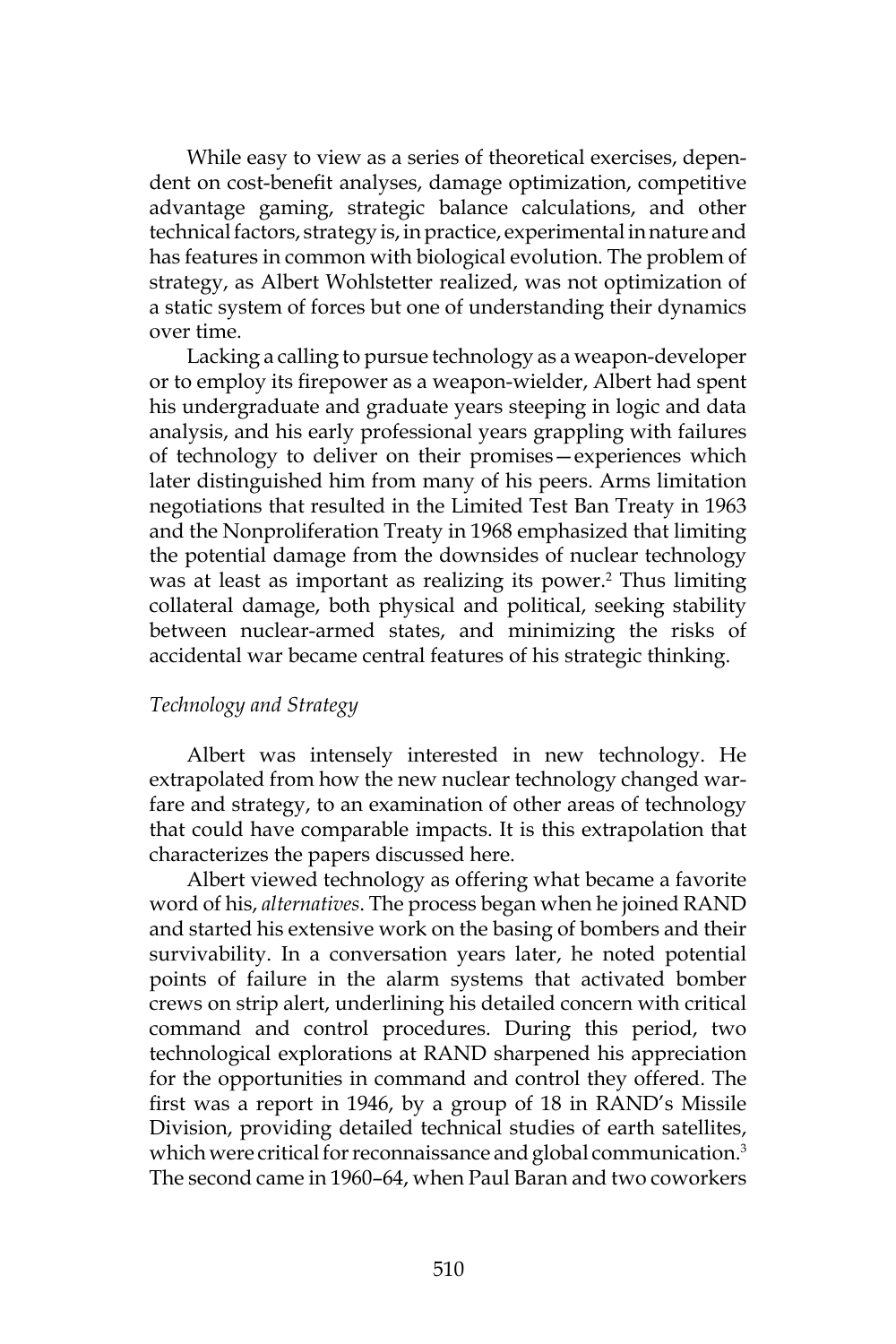While easy to view as a series of theoretical exercises, dependent on cost-benefit analyses, damage optimization, competitive advantage gaming, strategic balance calculations, and other technical factors, strategy is, in practice, experimental in nature and has features in common with biological evolution. The problem of strategy, as Albert Wohlstetter realized, was not optimization of a static system of forces but one of understanding their dynamics over time.

Lacking a calling to pursue technology as a weapon-developer or to employ its firepower as a weapon-wielder, Albert had spent his undergraduate and graduate years steeping in logic and data analysis, and his early professional years grappling with failures of technology to deliver on their promises—experiences which later distinguished him from many of his peers. Arms limitation negotiations that resulted in the Limited Test Ban Treaty in 1963 and the Nonproliferation Treaty in 1968 emphasized that limiting the potential damage from the downsides of nuclear technology was at least as important as realizing its power.<sup>2</sup> Thus limiting collateral damage, both physical and political, seeking stability between nuclear-armed states, and minimizing the risks of accidental war became central features of his strategic thinking.

## *Technology and Strategy*

Albert was intensely interested in new technology. He extrapolated from how the new nuclear technology changed warfare and strategy, to an examination of other areas of technology that could have comparable impacts. It is this extrapolation that characterizes the papers discussed here.

Albert viewed technology as offering what became a favorite word of his, *alternatives*. The process began when he joined RAND and started his extensive work on the basing of bombers and their survivability. In a conversation years later, he noted potential points of failure in the alarm systems that activated bomber crews on strip alert, underlining his detailed concern with critical command and control procedures. During this period, two technological explorations at RAND sharpened his appreciation for the opportunities in command and control they offered. The first was a report in 1946, by a group of 18 in RAND's Missile Division, providing detailed technical studies of earth satellites, which were critical for reconnaissance and global communication.<sup>3</sup> The second came in 1960–64, when Paul Baran and two coworkers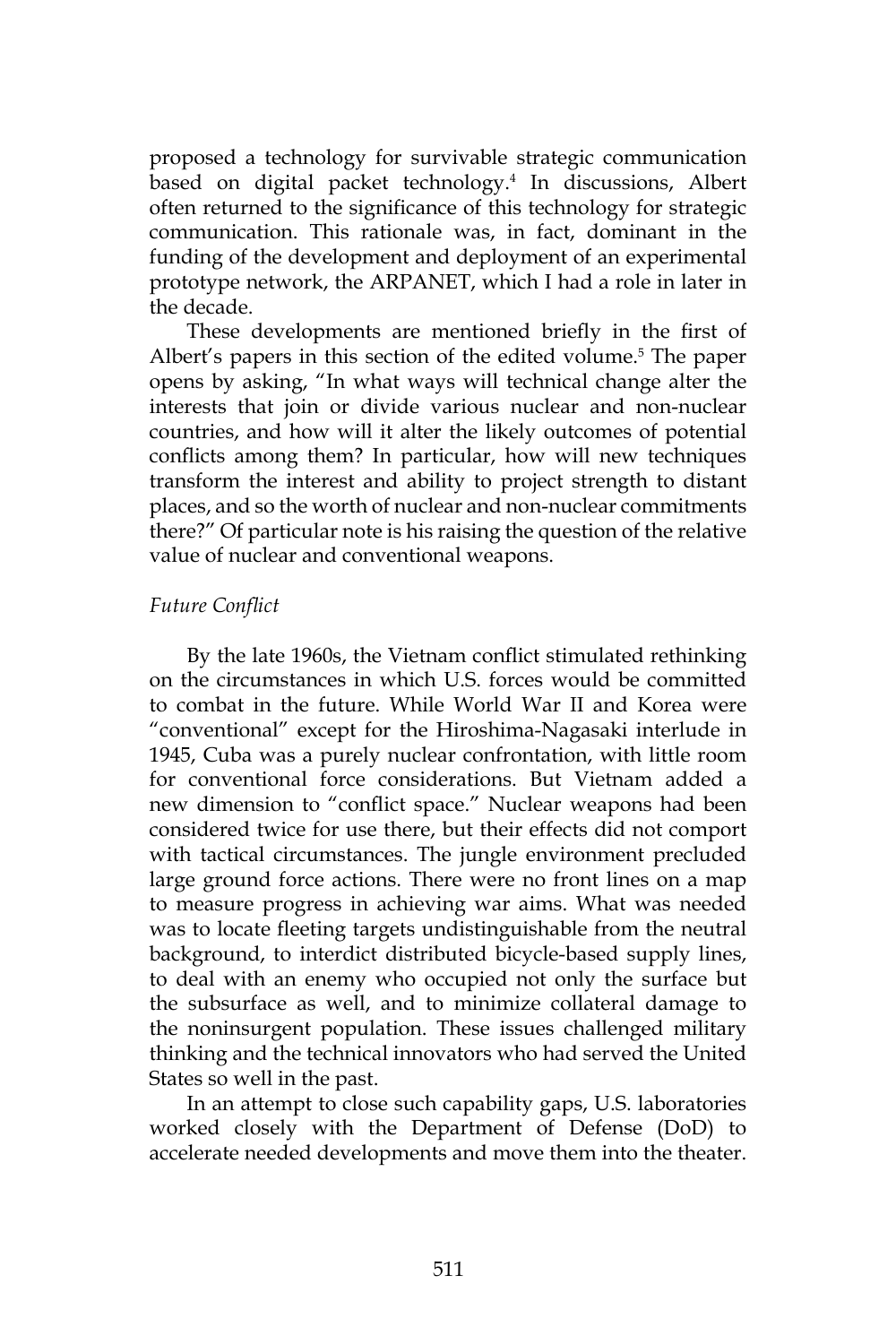proposed a technology for survivable strategic communication based on digital packet technology.4 In discussions, Albert often returned to the significance of this technology for strategic communication. This rationale was, in fact, dominant in the funding of the development and deployment of an experimental prototype network, the ARPANET, which I had a role in later in the decade.

These developments are mentioned briefly in the first of Albert's papers in this section of the edited volume.<sup>5</sup> The paper opens by asking, "In what ways will technical change alter the interests that join or divide various nuclear and non-nuclear countries, and how will it alter the likely outcomes of potential conflicts among them? In particular, how will new techniques transform the interest and ability to project strength to distant places, and so the worth of nuclear and non-nuclear commitments there?" Of particular note is his raising the question of the relative value of nuclear and conventional weapons.

# *Future Conflict*

By the late 1960s, the Vietnam conflict stimulated rethinking on the circumstances in which U.S. forces would be committed to combat in the future. While World War II and Korea were "conventional" except for the Hiroshima-Nagasaki interlude in 1945, Cuba was a purely nuclear confrontation, with little room for conventional force considerations. But Vietnam added a new dimension to "conflict space." Nuclear weapons had been considered twice for use there, but their effects did not comport with tactical circumstances. The jungle environment precluded large ground force actions. There were no front lines on a map to measure progress in achieving war aims. What was needed was to locate fleeting targets undistinguishable from the neutral background, to interdict distributed bicycle-based supply lines, to deal with an enemy who occupied not only the surface but the subsurface as well, and to minimize collateral damage to the noninsurgent population. These issues challenged military thinking and the technical innovators who had served the United States so well in the past.

In an attempt to close such capability gaps, U.S. laboratories worked closely with the Department of Defense (DoD) to accelerate needed developments and move them into the theater.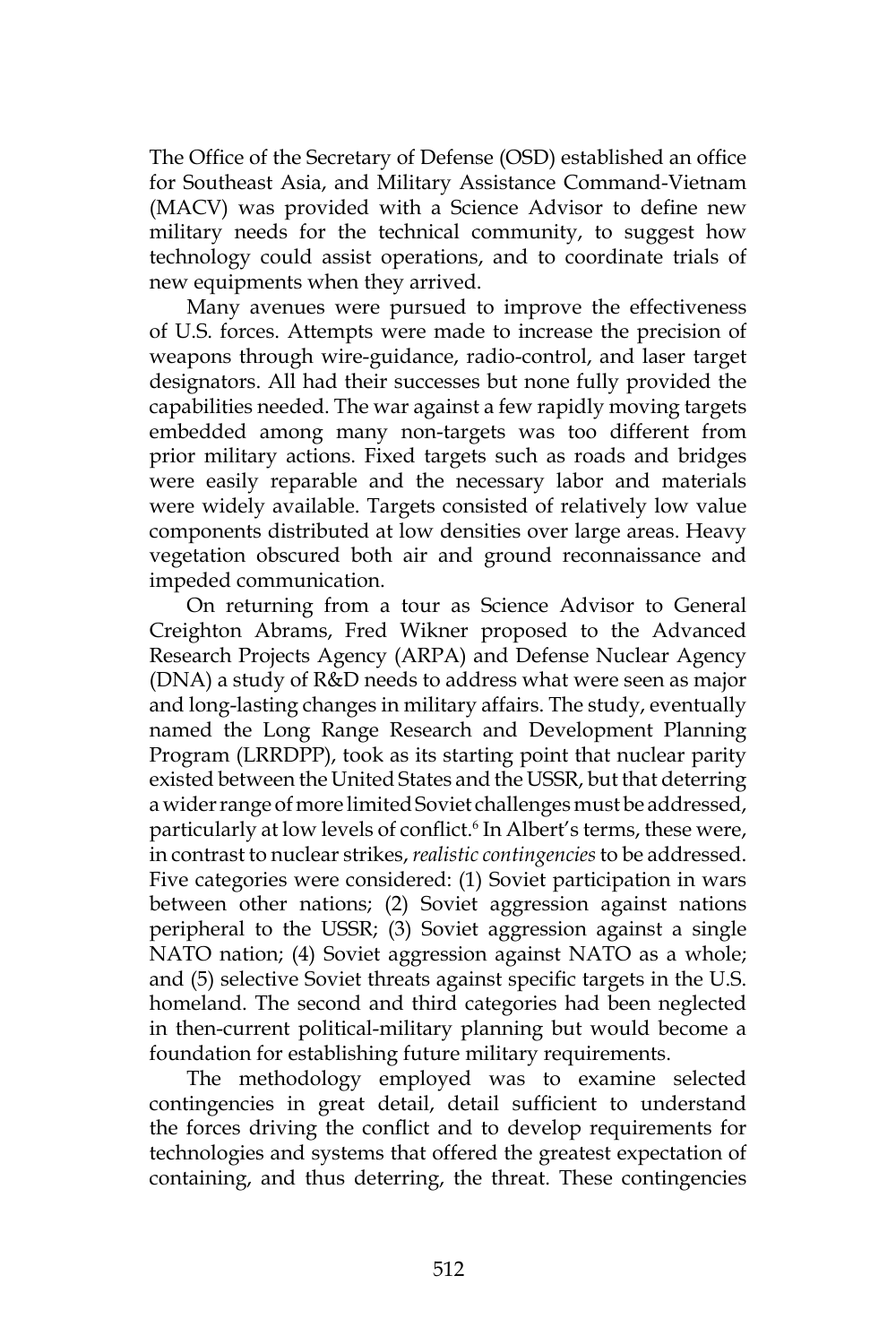The Office of the Secretary of Defense (OSD) established an office for Southeast Asia, and Military Assistance Command-Vietnam (MACV) was provided with a Science Advisor to define new military needs for the technical community, to suggest how technology could assist operations, and to coordinate trials of new equipments when they arrived.

Many avenues were pursued to improve the effectiveness of U.S. forces. Attempts were made to increase the precision of weapons through wire-guidance, radio-control, and laser target designators. All had their successes but none fully provided the capabilities needed. The war against a few rapidly moving targets embedded among many non-targets was too different from prior military actions. Fixed targets such as roads and bridges were easily reparable and the necessary labor and materials were widely available. Targets consisted of relatively low value components distributed at low densities over large areas. Heavy vegetation obscured both air and ground reconnaissance and impeded communication.

On returning from a tour as Science Advisor to General Creighton Abrams, Fred Wikner proposed to the Advanced Research Projects Agency (ARPA) and Defense Nuclear Agency (DNA) a study of R&D needs to address what were seen as major and long-lasting changes in military affairs. The study, eventually named the Long Range Research and Development Planning Program (LRRDPP), took as its starting point that nuclear parity existed between the United States and the USSR, but that deterring a wider range of more limited Soviet challenges must be addressed, particularly at low levels of conflict.<sup>6</sup> In Albert's terms, these were, in contrast to nuclear strikes, *realistic contingencies* to be addressed. Five categories were considered: (1) Soviet participation in wars between other nations; (2) Soviet aggression against nations peripheral to the USSR; (3) Soviet aggression against a single NATO nation; (4) Soviet aggression against NATO as a whole; and (5) selective Soviet threats against specific targets in the U.S. homeland. The second and third categories had been neglected in then-current political-military planning but would become a foundation for establishing future military requirements.

The methodology employed was to examine selected contingencies in great detail, detail sufficient to understand the forces driving the conflict and to develop requirements for technologies and systems that offered the greatest expectation of containing, and thus deterring, the threat. These contingencies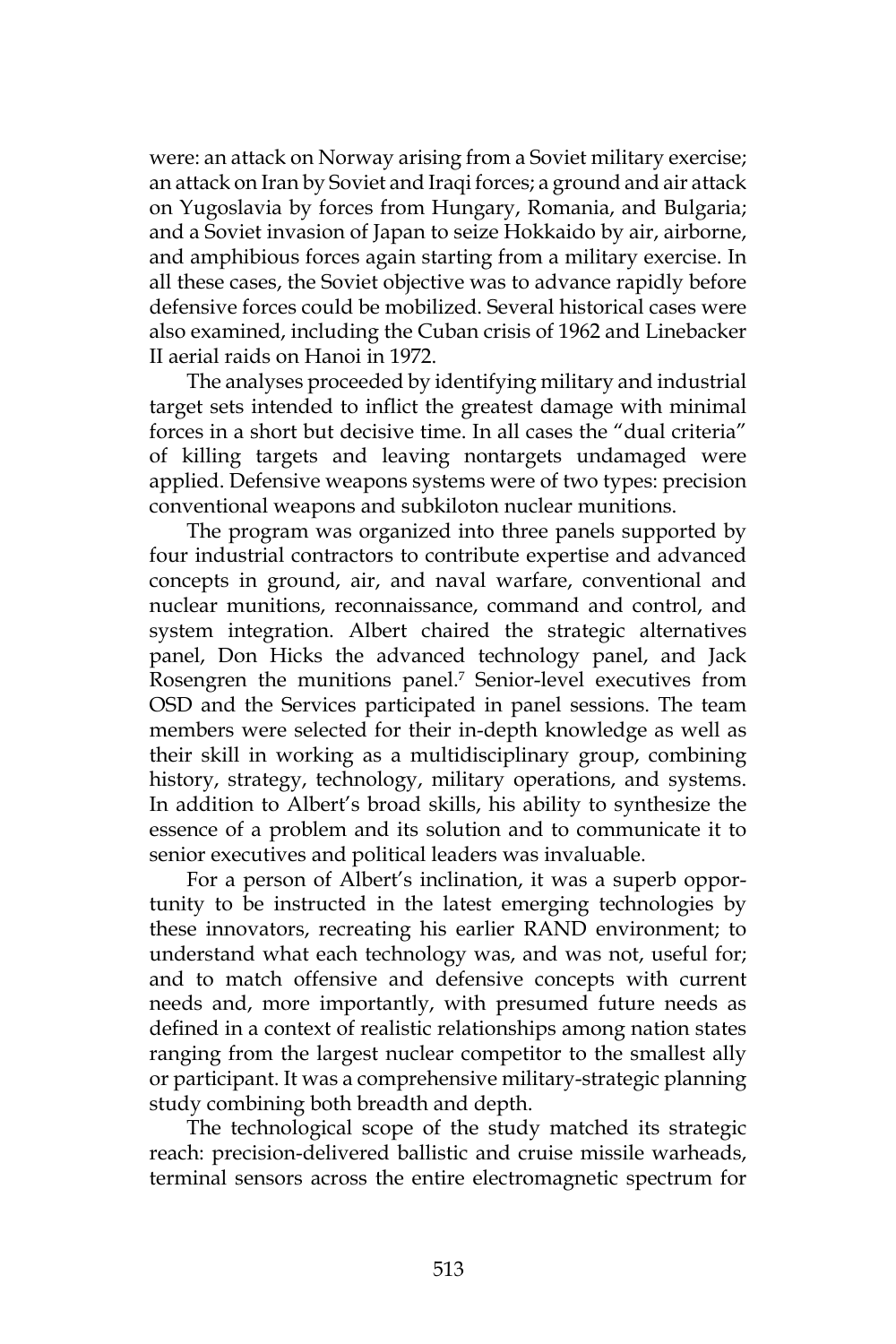were: an attack on Norway arising from a Soviet military exercise; an attack on Iran by Soviet and Iraqi forces; a ground and air attack on Yugoslavia by forces from Hungary, Romania, and Bulgaria; and a Soviet invasion of Japan to seize Hokkaido by air, airborne, and amphibious forces again starting from a military exercise. In all these cases, the Soviet objective was to advance rapidly before defensive forces could be mobilized. Several historical cases were also examined, including the Cuban crisis of 1962 and Linebacker II aerial raids on Hanoi in 1972.

The analyses proceeded by identifying military and industrial target sets intended to inflict the greatest damage with minimal forces in a short but decisive time. In all cases the "dual criteria" of killing targets and leaving nontargets undamaged were applied. Defensive weapons systems were of two types: precision conventional weapons and subkiloton nuclear munitions.

The program was organized into three panels supported by four industrial contractors to contribute expertise and advanced concepts in ground, air, and naval warfare, conventional and nuclear munitions, reconnaissance, command and control, and system integration. Albert chaired the strategic alternatives panel, Don Hicks the advanced technology panel, and Jack Rosengren the munitions panel.7 Senior-level executives from OSD and the Services participated in panel sessions. The team members were selected for their in-depth knowledge as well as their skill in working as a multidisciplinary group, combining history, strategy, technology, military operations, and systems. In addition to Albert's broad skills, his ability to synthesize the essence of a problem and its solution and to communicate it to senior executives and political leaders was invaluable.

For a person of Albert's inclination, it was a superb opportunity to be instructed in the latest emerging technologies by these innovators, recreating his earlier RAND environment; to understand what each technology was, and was not, useful for; and to match offensive and defensive concepts with current needs and, more importantly, with presumed future needs as defined in a context of realistic relationships among nation states ranging from the largest nuclear competitor to the smallest ally or participant. It was a comprehensive military-strategic planning study combining both breadth and depth.

The technological scope of the study matched its strategic reach: precision-delivered ballistic and cruise missile warheads, terminal sensors across the entire electromagnetic spectrum for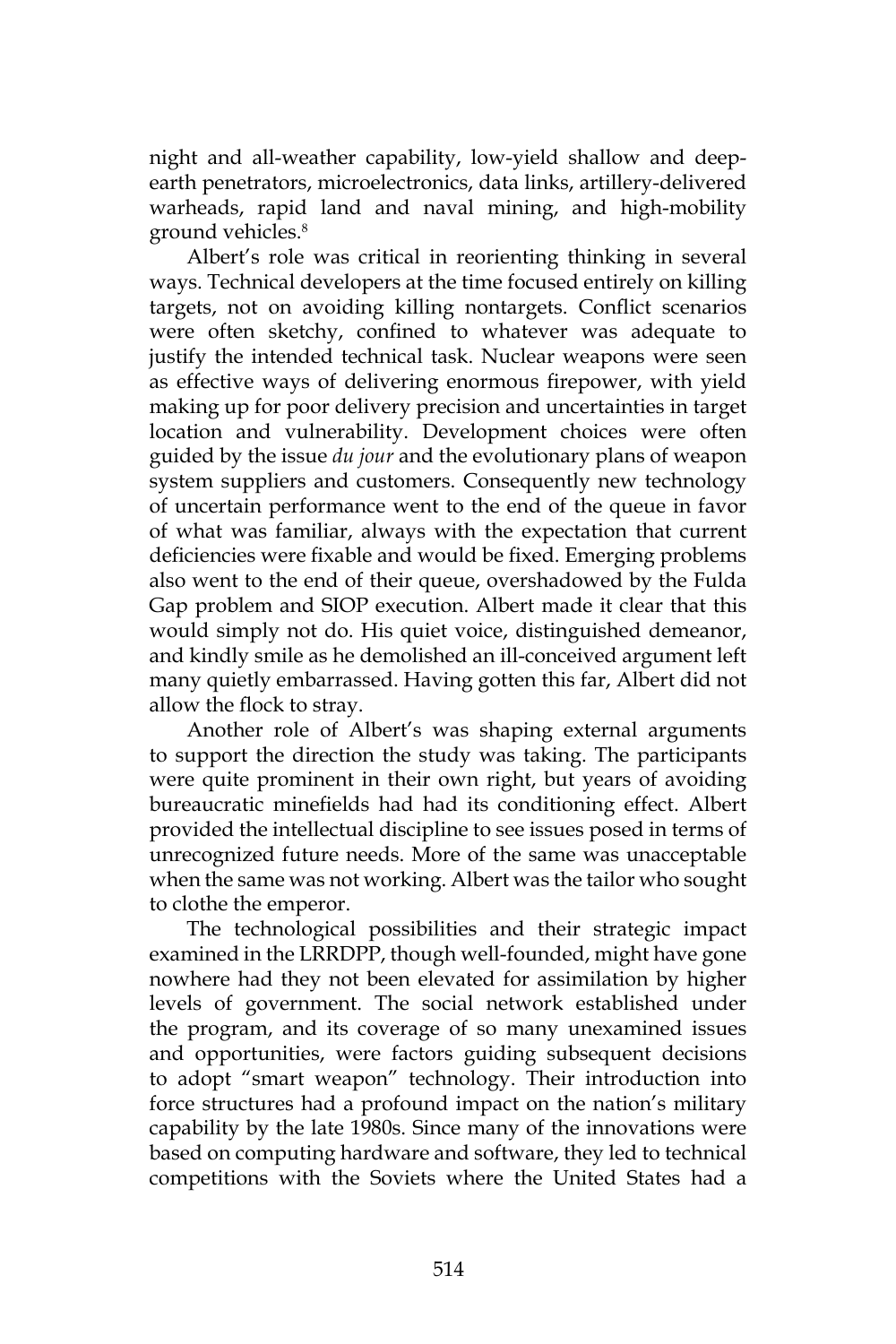night and all-weather capability, low-yield shallow and deepearth penetrators, microelectronics, data links, artillery-delivered warheads, rapid land and naval mining, and high-mobility ground vehicles.8

Albert's role was critical in reorienting thinking in several ways. Technical developers at the time focused entirely on killing targets, not on avoiding killing nontargets. Conflict scenarios were often sketchy, confined to whatever was adequate to justify the intended technical task. Nuclear weapons were seen as effective ways of delivering enormous firepower, with yield making up for poor delivery precision and uncertainties in target location and vulnerability. Development choices were often guided by the issue *du jour* and the evolutionary plans of weapon system suppliers and customers. Consequently new technology of uncertain performance went to the end of the queue in favor of what was familiar, always with the expectation that current deficiencies were fixable and would be fixed. Emerging problems also went to the end of their queue, overshadowed by the Fulda Gap problem and SIOP execution. Albert made it clear that this would simply not do. His quiet voice, distinguished demeanor, and kindly smile as he demolished an ill-conceived argument left many quietly embarrassed. Having gotten this far, Albert did not allow the flock to stray.

Another role of Albert's was shaping external arguments to support the direction the study was taking. The participants were quite prominent in their own right, but years of avoiding bureaucratic minefields had had its conditioning effect. Albert provided the intellectual discipline to see issues posed in terms of unrecognized future needs. More of the same was unacceptable when the same was not working. Albert was the tailor who sought to clothe the emperor.

The technological possibilities and their strategic impact examined in the LRRDPP, though well-founded, might have gone nowhere had they not been elevated for assimilation by higher levels of government. The social network established under the program, and its coverage of so many unexamined issues and opportunities, were factors guiding subsequent decisions to adopt "smart weapon" technology. Their introduction into force structures had a profound impact on the nation's military capability by the late 1980s. Since many of the innovations were based on computing hardware and software, they led to technical competitions with the Soviets where the United States had a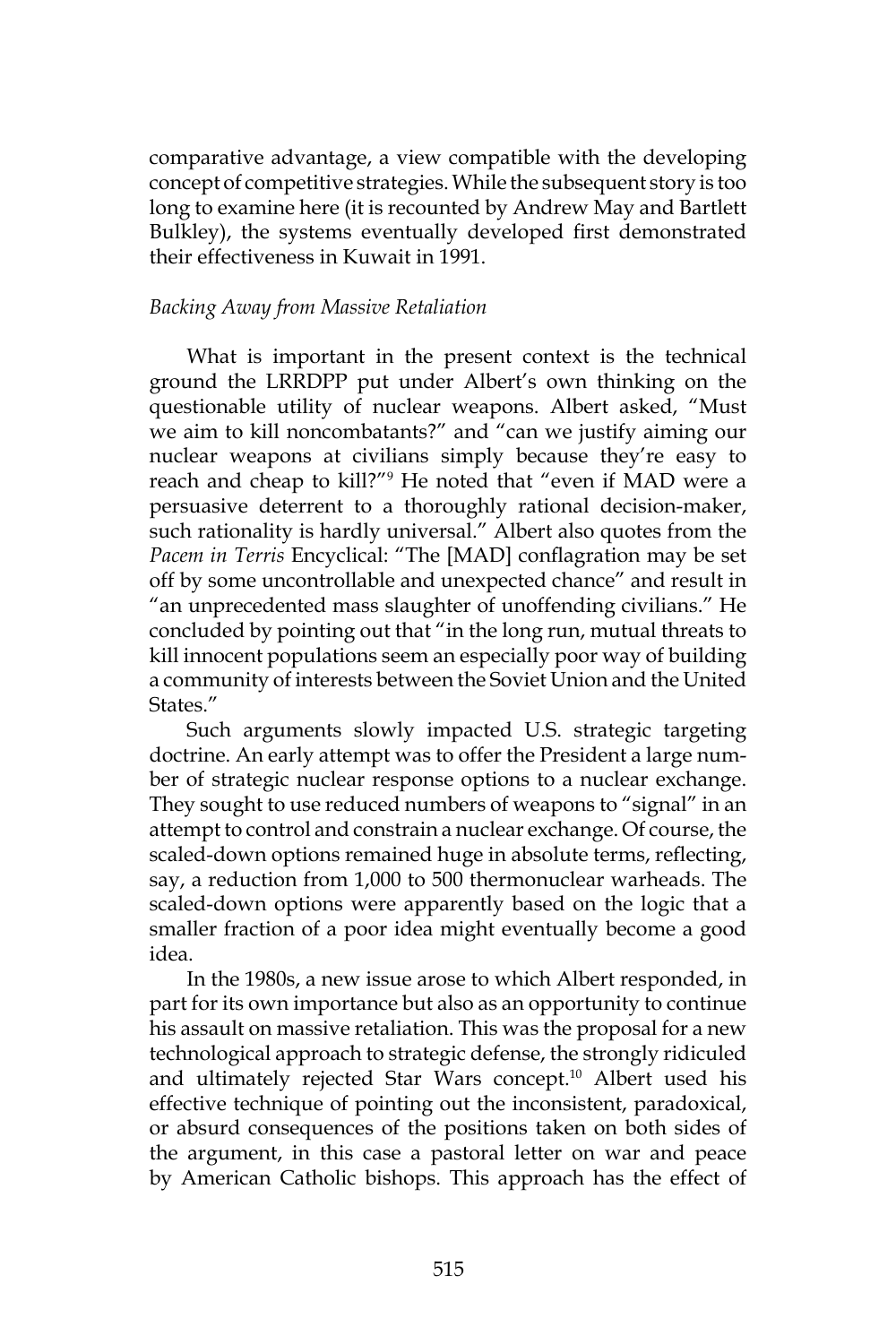comparative advantage, a view compatible with the developing concept of competitive strategies. While the subsequent story is too long to examine here (it is recounted by Andrew May and Bartlett Bulkley), the systems eventually developed first demonstrated their effectiveness in Kuwait in 1991.

# *Backing Away from Massive Retaliation*

What is important in the present context is the technical ground the LRRDPP put under Albert's own thinking on the questionable utility of nuclear weapons. Albert asked, "Must we aim to kill noncombatants?" and "can we justify aiming our nuclear weapons at civilians simply because they're easy to reach and cheap to kill?"9 He noted that "even if MAD were a persuasive deterrent to a thoroughly rational decision-maker, such rationality is hardly universal." Albert also quotes from the *Pacem in Terris* Encyclical: "The [MAD] conflagration may be set off by some uncontrollable and unexpected chance" and result in "an unprecedented mass slaughter of unoffending civilians." He concluded by pointing out that "in the long run, mutual threats to kill innocent populations seem an especially poor way of building a community of interests between the Soviet Union and the United States."

Such arguments slowly impacted U.S. strategic targeting doctrine. An early attempt was to offer the President a large number of strategic nuclear response options to a nuclear exchange. They sought to use reduced numbers of weapons to "signal" in an attempt to control and constrain a nuclear exchange. Of course, the scaled-down options remained huge in absolute terms, reflecting, say, a reduction from 1,000 to 500 thermonuclear warheads. The scaled-down options were apparently based on the logic that a smaller fraction of a poor idea might eventually become a good idea.

In the 1980s, a new issue arose to which Albert responded, in part for its own importance but also as an opportunity to continue his assault on massive retaliation. This was the proposal for a new technological approach to strategic defense, the strongly ridiculed and ultimately rejected Star Wars concept.<sup>10</sup> Albert used his effective technique of pointing out the inconsistent, paradoxical, or absurd consequences of the positions taken on both sides of the argument, in this case a pastoral letter on war and peace by American Catholic bishops. This approach has the effect of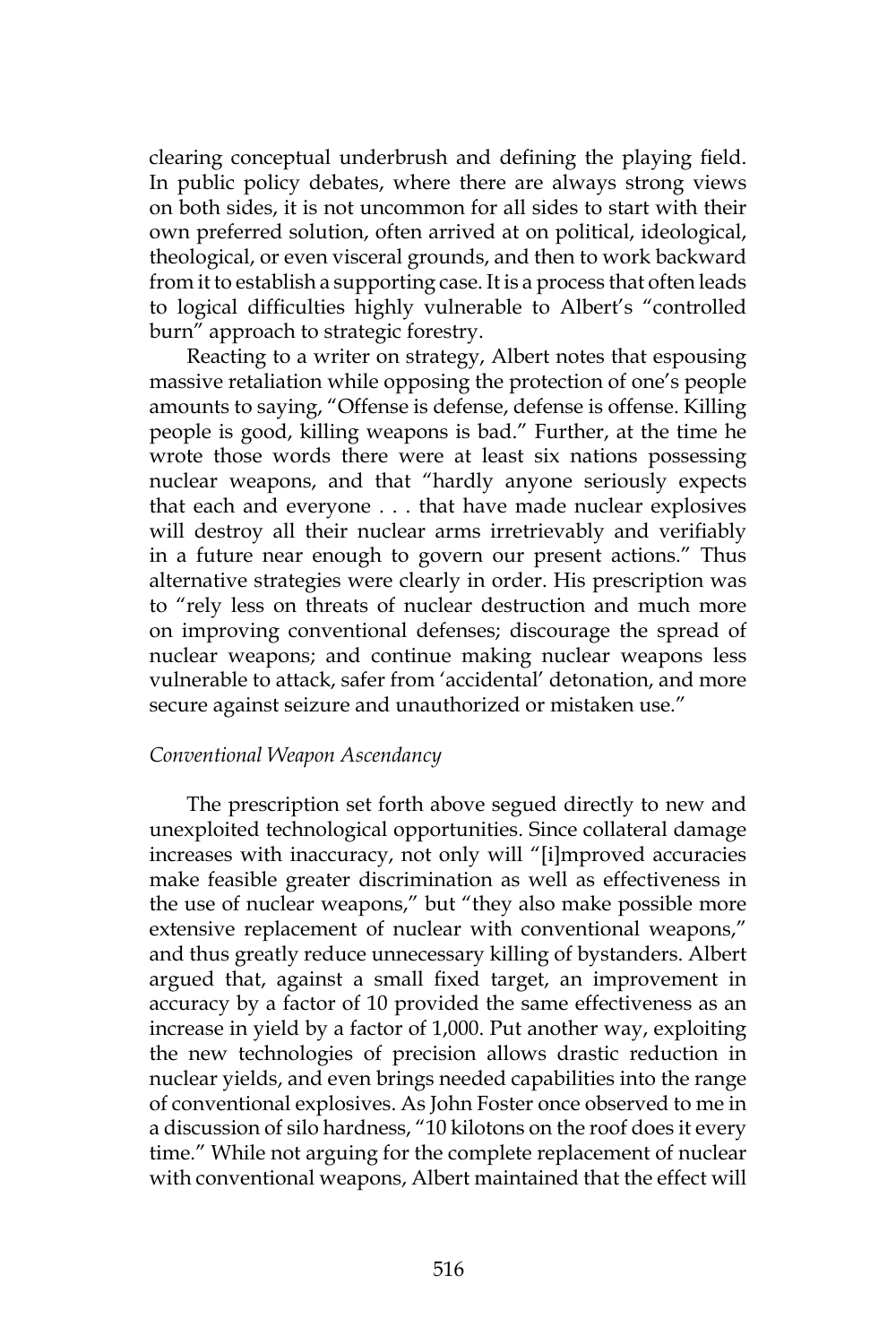clearing conceptual underbrush and defining the playing field. In public policy debates, where there are always strong views on both sides, it is not uncommon for all sides to start with their own preferred solution, often arrived at on political, ideological, theological, or even visceral grounds, and then to work backward from it to establish a supporting case. It is a process that often leads to logical difficulties highly vulnerable to Albert's "controlled burn" approach to strategic forestry.

Reacting to a writer on strategy, Albert notes that espousing massive retaliation while opposing the protection of one's people amounts to saying, "Offense is defense, defense is offense. Killing people is good, killing weapons is bad." Further, at the time he wrote those words there were at least six nations possessing nuclear weapons, and that "hardly anyone seriously expects that each and everyone . . . that have made nuclear explosives will destroy all their nuclear arms irretrievably and verifiably in a future near enough to govern our present actions." Thus alternative strategies were clearly in order. His prescription was to "rely less on threats of nuclear destruction and much more on improving conventional defenses; discourage the spread of nuclear weapons; and continue making nuclear weapons less vulnerable to attack, safer from 'accidental' detonation, and more secure against seizure and unauthorized or mistaken use."

### *Conventional Weapon Ascendancy*

The prescription set forth above segued directly to new and unexploited technological opportunities. Since collateral damage increases with inaccuracy, not only will "[i]mproved accuracies make feasible greater discrimination as well as effectiveness in the use of nuclear weapons," but "they also make possible more extensive replacement of nuclear with conventional weapons," and thus greatly reduce unnecessary killing of bystanders. Albert argued that, against a small fixed target, an improvement in accuracy by a factor of 10 provided the same effectiveness as an increase in yield by a factor of 1,000. Put another way, exploiting the new technologies of precision allows drastic reduction in nuclear yields, and even brings needed capabilities into the range of conventional explosives. As John Foster once observed to me in a discussion of silo hardness, "10 kilotons on the roof does it every time." While not arguing for the complete replacement of nuclear with conventional weapons, Albert maintained that the effect will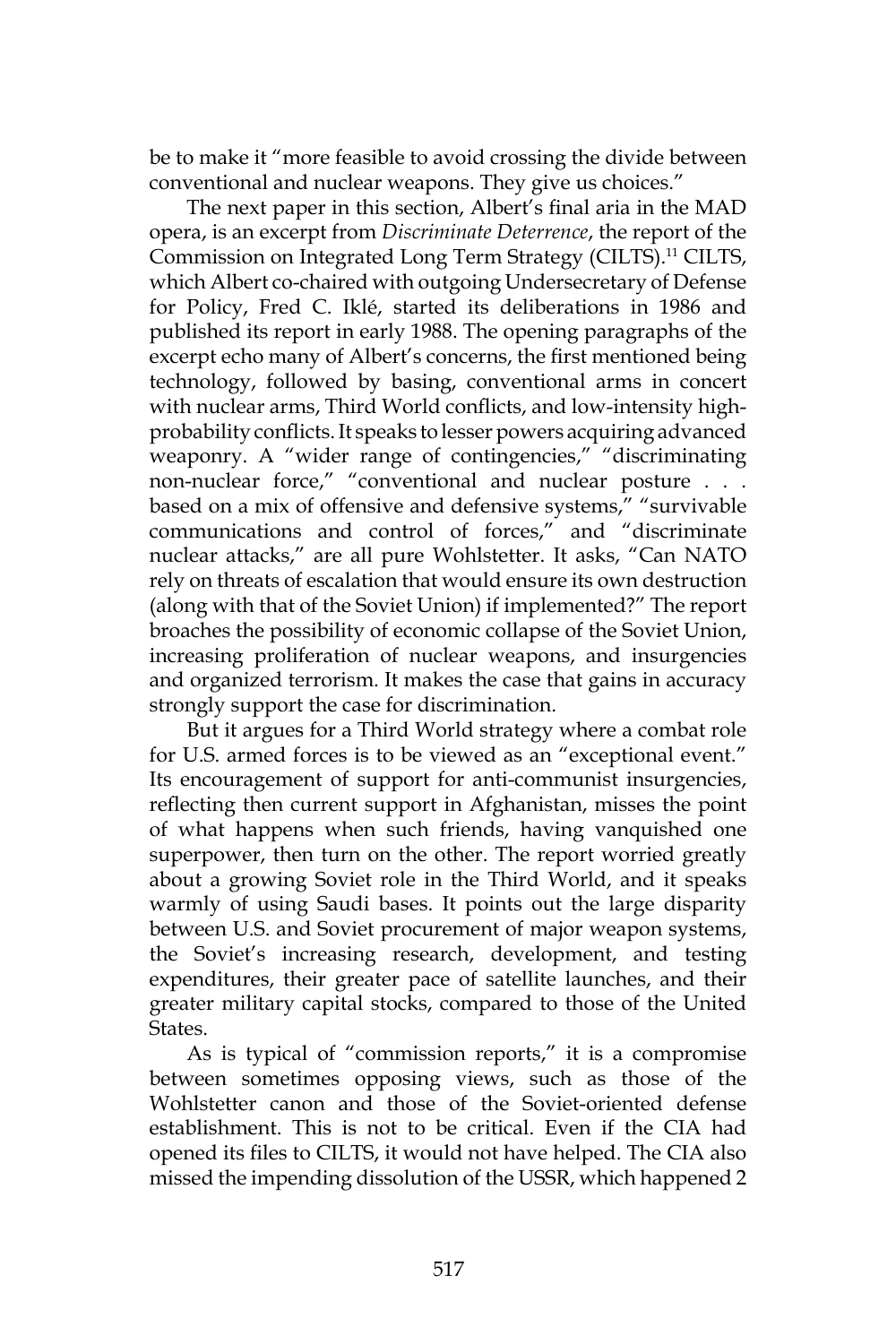be to make it "more feasible to avoid crossing the divide between conventional and nuclear weapons. They give us choices."

The next paper in this section, Albert's final aria in the MAD opera, is an excerpt from *Discriminate Deterrence*, the report of the Commission on Integrated Long Term Strategy (CILTS).11 CILTS, which Albert co-chaired with outgoing Undersecretary of Defense for Policy, Fred C. Iklé, started its deliberations in 1986 and published its report in early 1988. The opening paragraphs of the excerpt echo many of Albert's concerns, the first mentioned being technology, followed by basing, conventional arms in concert with nuclear arms, Third World conflicts, and low-intensity highprobability conflicts. It speaks to lesser powers acquiring advanced weaponry. A "wider range of contingencies," "discriminating non-nuclear force," "conventional and nuclear posture . . . based on a mix of offensive and defensive systems," "survivable communications and control of forces," and "discriminate nuclear attacks," are all pure Wohlstetter. It asks, "Can NATO rely on threats of escalation that would ensure its own destruction (along with that of the Soviet Union) if implemented?" The report broaches the possibility of economic collapse of the Soviet Union, increasing proliferation of nuclear weapons, and insurgencies and organized terrorism. It makes the case that gains in accuracy strongly support the case for discrimination.

But it argues for a Third World strategy where a combat role for U.S. armed forces is to be viewed as an "exceptional event." Its encouragement of support for anti-communist insurgencies, reflecting then current support in Afghanistan, misses the point of what happens when such friends, having vanquished one superpower, then turn on the other. The report worried greatly about a growing Soviet role in the Third World, and it speaks warmly of using Saudi bases. It points out the large disparity between U.S. and Soviet procurement of major weapon systems, the Soviet's increasing research, development, and testing expenditures, their greater pace of satellite launches, and their greater military capital stocks, compared to those of the United States.

As is typical of "commission reports," it is a compromise between sometimes opposing views, such as those of the Wohlstetter canon and those of the Soviet-oriented defense establishment. This is not to be critical. Even if the CIA had opened its files to CILTS, it would not have helped. The CIA also missed the impending dissolution of the USSR, which happened 2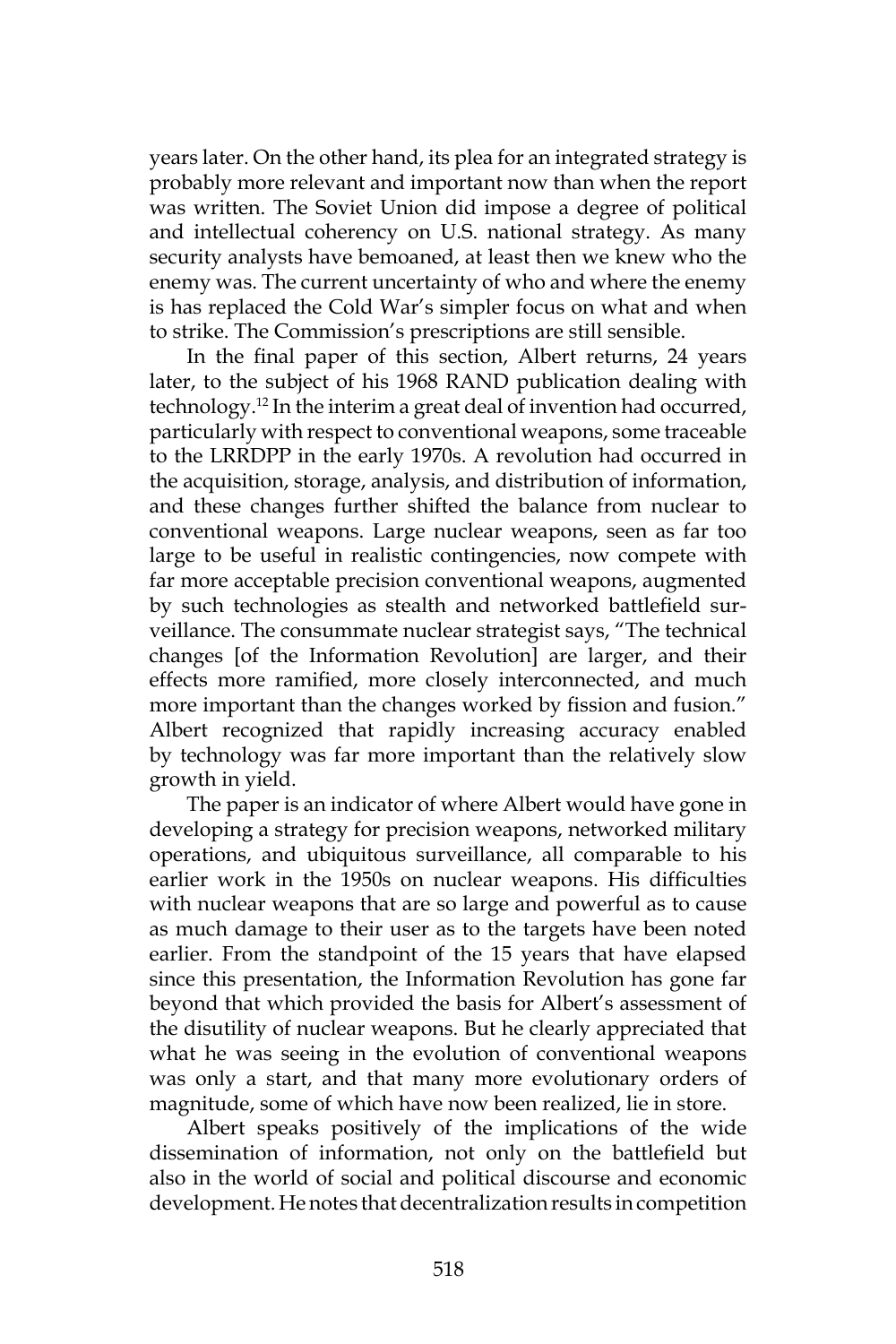years later. On the other hand, its plea for an integrated strategy is probably more relevant and important now than when the report was written. The Soviet Union did impose a degree of political and intellectual coherency on U.S. national strategy. As many security analysts have bemoaned, at least then we knew who the enemy was. The current uncertainty of who and where the enemy is has replaced the Cold War's simpler focus on what and when to strike. The Commission's prescriptions are still sensible.

In the final paper of this section, Albert returns, 24 years later, to the subject of his 1968 RAND publication dealing with technology.12 In the interim a great deal of invention had occurred, particularly with respect to conventional weapons, some traceable to the LRRDPP in the early 1970s. A revolution had occurred in the acquisition, storage, analysis, and distribution of information, and these changes further shifted the balance from nuclear to conventional weapons. Large nuclear weapons, seen as far too large to be useful in realistic contingencies, now compete with far more acceptable precision conventional weapons, augmented by such technologies as stealth and networked battlefield surveillance. The consummate nuclear strategist says, "The technical changes [of the Information Revolution] are larger, and their effects more ramified, more closely interconnected, and much more important than the changes worked by fission and fusion." Albert recognized that rapidly increasing accuracy enabled by technology was far more important than the relatively slow growth in yield.

The paper is an indicator of where Albert would have gone in developing a strategy for precision weapons, networked military operations, and ubiquitous surveillance, all comparable to his earlier work in the 1950s on nuclear weapons. His difficulties with nuclear weapons that are so large and powerful as to cause as much damage to their user as to the targets have been noted earlier. From the standpoint of the 15 years that have elapsed since this presentation, the Information Revolution has gone far beyond that which provided the basis for Albert's assessment of the disutility of nuclear weapons. But he clearly appreciated that what he was seeing in the evolution of conventional weapons was only a start, and that many more evolutionary orders of magnitude, some of which have now been realized, lie in store.

Albert speaks positively of the implications of the wide dissemination of information, not only on the battlefield but also in the world of social and political discourse and economic development. He notes that decentralization results in competition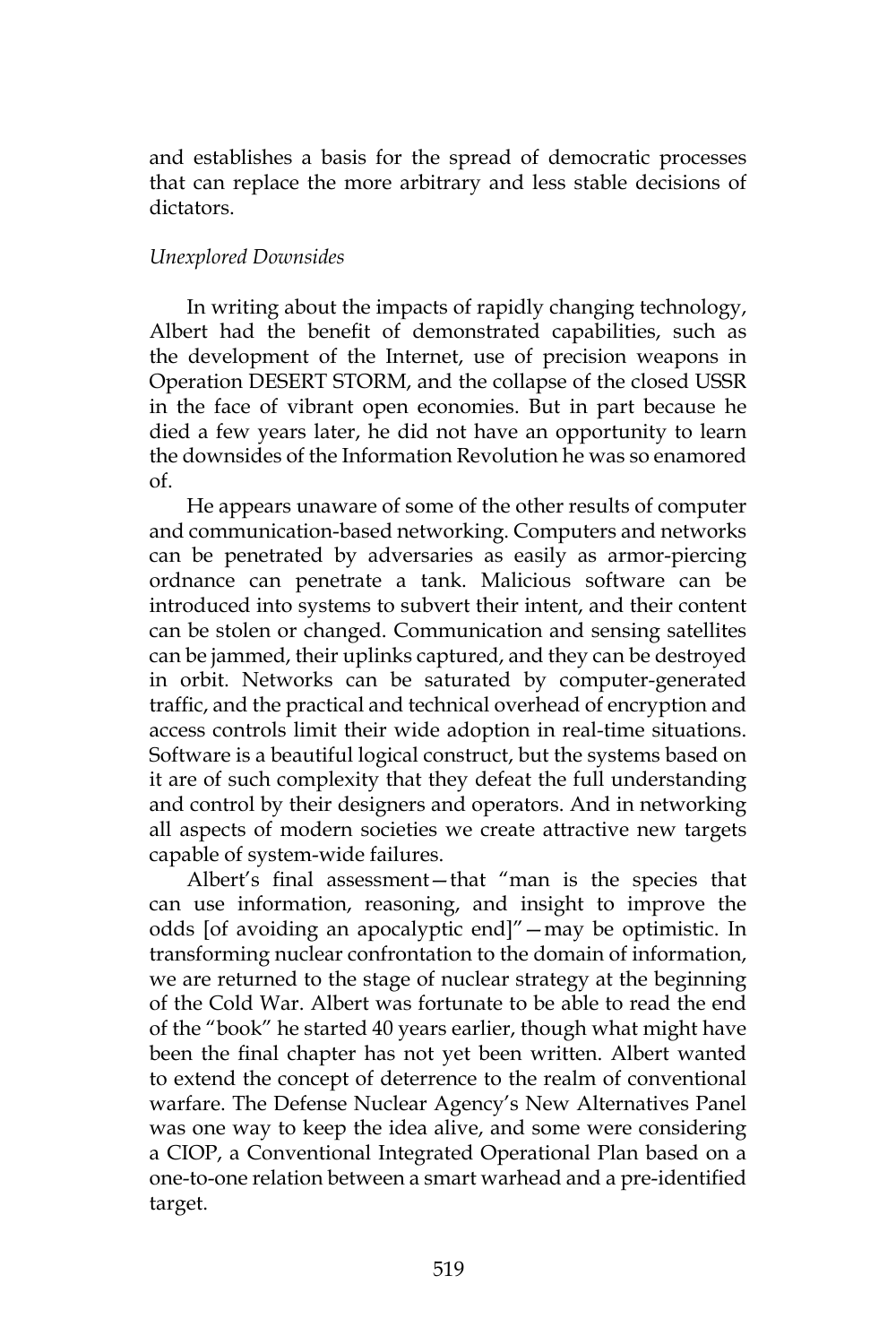and establishes a basis for the spread of democratic processes that can replace the more arbitrary and less stable decisions of dictators.

# *Unexplored Downsides*

In writing about the impacts of rapidly changing technology, Albert had the benefit of demonstrated capabilities, such as the development of the Internet, use of precision weapons in Operation DESERT STORM, and the collapse of the closed USSR in the face of vibrant open economies. But in part because he died a few years later, he did not have an opportunity to learn the downsides of the Information Revolution he was so enamored of.

He appears unaware of some of the other results of computer and communication-based networking. Computers and networks can be penetrated by adversaries as easily as armor-piercing ordnance can penetrate a tank. Malicious software can be introduced into systems to subvert their intent, and their content can be stolen or changed. Communication and sensing satellites can be jammed, their uplinks captured, and they can be destroyed in orbit. Networks can be saturated by computer-generated traffic, and the practical and technical overhead of encryption and access controls limit their wide adoption in real-time situations. Software is a beautiful logical construct, but the systems based on it are of such complexity that they defeat the full understanding and control by their designers and operators. And in networking all aspects of modern societies we create attractive new targets capable of system-wide failures.

Albert's final assessment—that "man is the species that can use information, reasoning, and insight to improve the odds [of avoiding an apocalyptic end]"—may be optimistic. In transforming nuclear confrontation to the domain of information, we are returned to the stage of nuclear strategy at the beginning of the Cold War. Albert was fortunate to be able to read the end of the "book" he started 40 years earlier, though what might have been the final chapter has not yet been written. Albert wanted to extend the concept of deterrence to the realm of conventional warfare. The Defense Nuclear Agency's New Alternatives Panel was one way to keep the idea alive, and some were considering a CIOP, a Conventional Integrated Operational Plan based on a one-to-one relation between a smart warhead and a pre-identified target.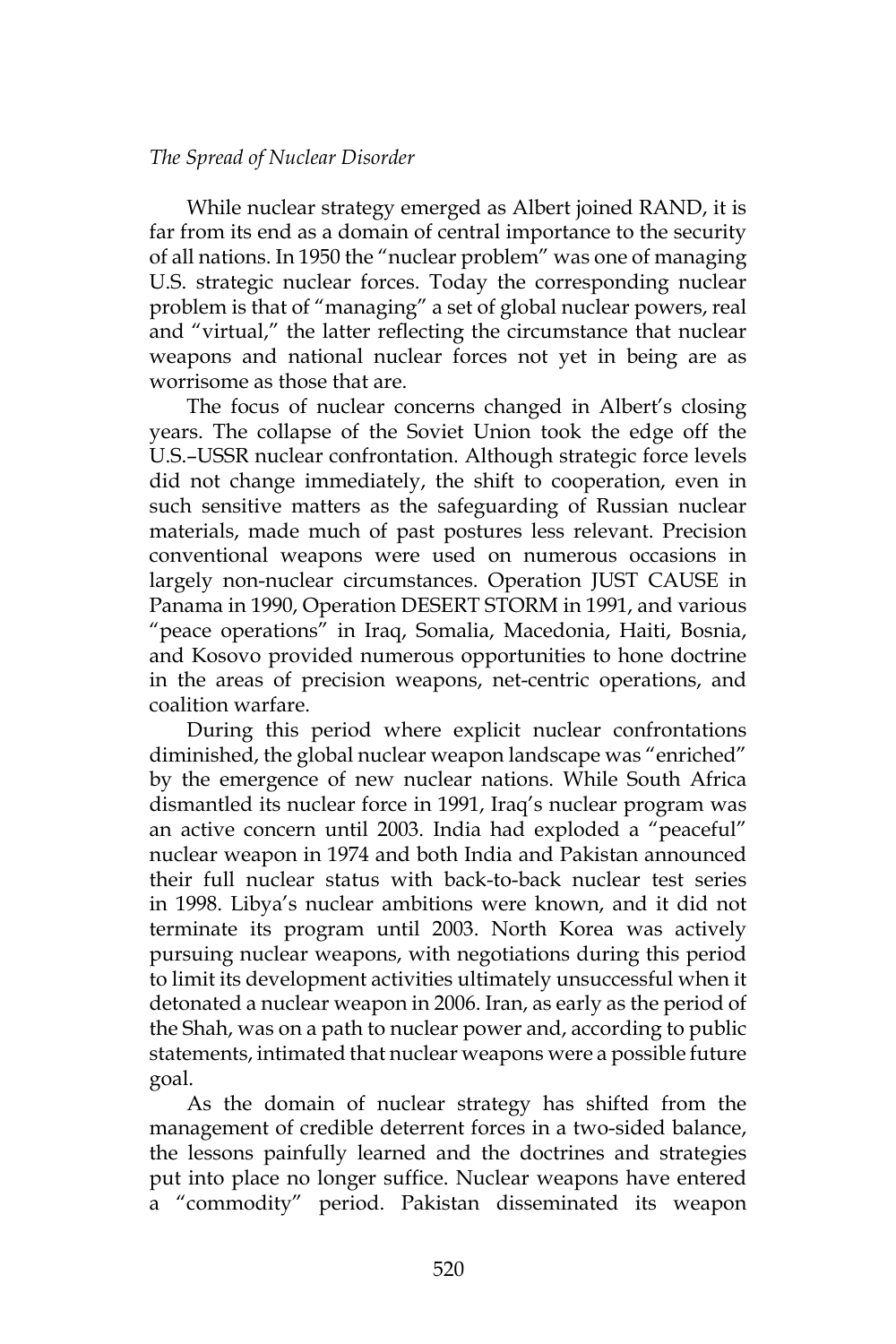#### *The Spread of Nuclear Disorder*

While nuclear strategy emerged as Albert joined RAND, it is far from its end as a domain of central importance to the security of all nations. In 1950 the "nuclear problem" was one of managing U.S. strategic nuclear forces. Today the corresponding nuclear problem is that of "managing" a set of global nuclear powers, real and "virtual," the latter reflecting the circumstance that nuclear weapons and national nuclear forces not yet in being are as worrisome as those that are.

The focus of nuclear concerns changed in Albert's closing years. The collapse of the Soviet Union took the edge off the U.S.–USSR nuclear confrontation. Although strategic force levels did not change immediately, the shift to cooperation, even in such sensitive matters as the safeguarding of Russian nuclear materials, made much of past postures less relevant. Precision conventional weapons were used on numerous occasions in largely non-nuclear circumstances. Operation JUST CAUSE in Panama in 1990, Operation DESERT STORM in 1991, and various "peace operations" in Iraq, Somalia, Macedonia, Haiti, Bosnia, and Kosovo provided numerous opportunities to hone doctrine in the areas of precision weapons, net-centric operations, and coalition warfare.

During this period where explicit nuclear confrontations diminished, the global nuclear weapon landscape was "enriched" by the emergence of new nuclear nations. While South Africa dismantled its nuclear force in 1991, Iraq's nuclear program was an active concern until 2003. India had exploded a "peaceful" nuclear weapon in 1974 and both India and Pakistan announced their full nuclear status with back-to-back nuclear test series in 1998. Libya's nuclear ambitions were known, and it did not terminate its program until 2003. North Korea was actively pursuing nuclear weapons, with negotiations during this period to limit its development activities ultimately unsuccessful when it detonated a nuclear weapon in 2006. Iran, as early as the period of the Shah, was on a path to nuclear power and, according to public statements, intimated that nuclear weapons were a possible future goal.

As the domain of nuclear strategy has shifted from the management of credible deterrent forces in a two-sided balance, the lessons painfully learned and the doctrines and strategies put into place no longer suffice. Nuclear weapons have entered a "commodity" period. Pakistan disseminated its weapon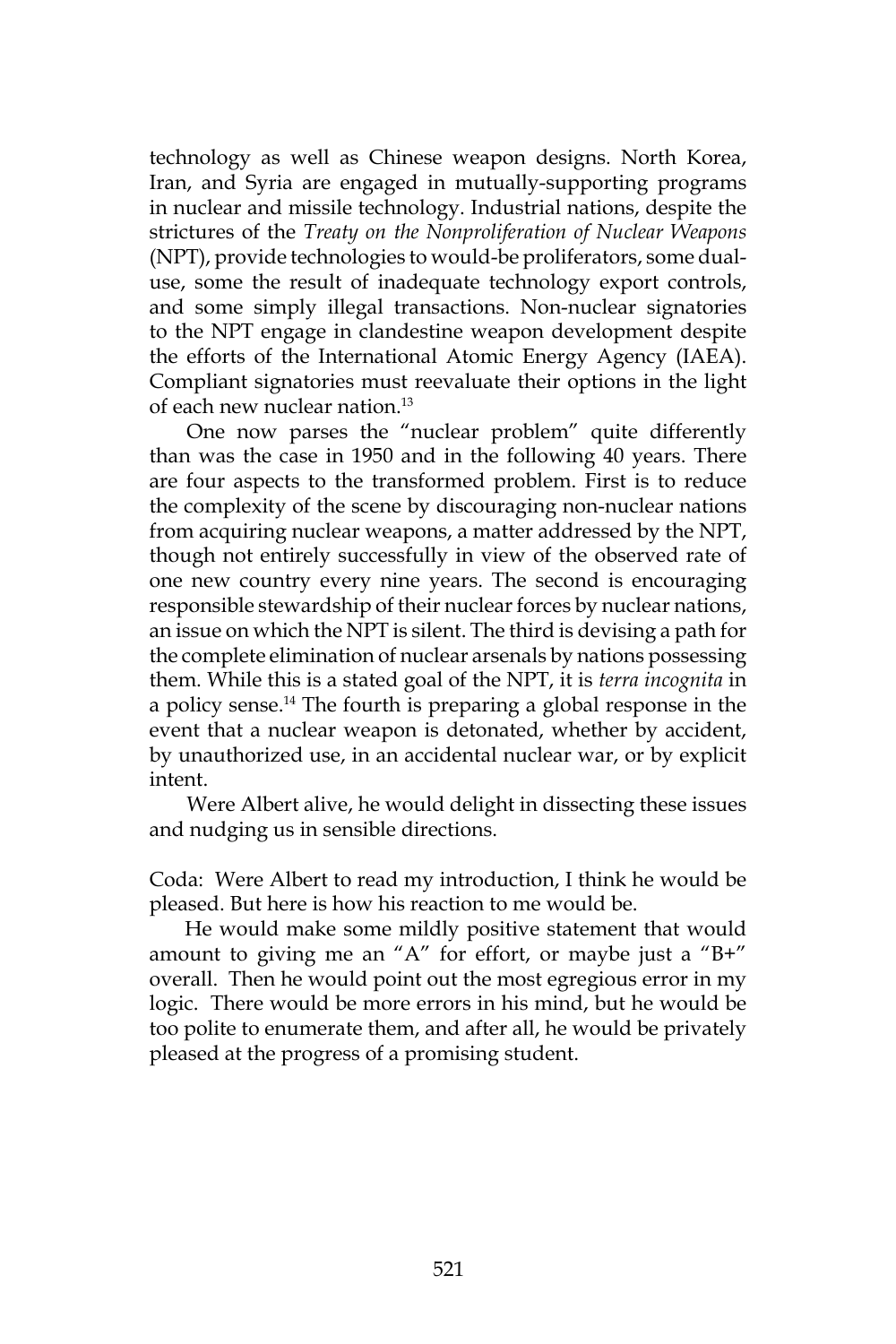technology as well as Chinese weapon designs. North Korea, Iran, and Syria are engaged in mutually-supporting programs in nuclear and missile technology. Industrial nations, despite the strictures of the *Treaty on the Nonproliferation of Nuclear Weapons*  (NPT), provide technologies to would-be proliferators, some dualuse, some the result of inadequate technology export controls, and some simply illegal transactions. Non-nuclear signatories to the NPT engage in clandestine weapon development despite the efforts of the International Atomic Energy Agency (IAEA). Compliant signatories must reevaluate their options in the light of each new nuclear nation.13

One now parses the "nuclear problem" quite differently than was the case in 1950 and in the following 40 years. There are four aspects to the transformed problem. First is to reduce the complexity of the scene by discouraging non-nuclear nations from acquiring nuclear weapons, a matter addressed by the NPT, though not entirely successfully in view of the observed rate of one new country every nine years. The second is encouraging responsible stewardship of their nuclear forces by nuclear nations, an issue on which the NPT is silent. The third is devising a path for the complete elimination of nuclear arsenals by nations possessing them. While this is a stated goal of the NPT, it is *terra incognita* in a policy sense.14 The fourth is preparing a global response in the event that a nuclear weapon is detonated, whether by accident, by unauthorized use, in an accidental nuclear war, or by explicit intent.

Were Albert alive, he would delight in dissecting these issues and nudging us in sensible directions.

Coda: Were Albert to read my introduction, I think he would be pleased. But here is how his reaction to me would be.

 He would make some mildly positive statement that would amount to giving me an "A" for effort, or maybe just a "B+" overall. Then he would point out the most egregious error in my logic. There would be more errors in his mind, but he would be too polite to enumerate them, and after all, he would be privately pleased at the progress of a promising student.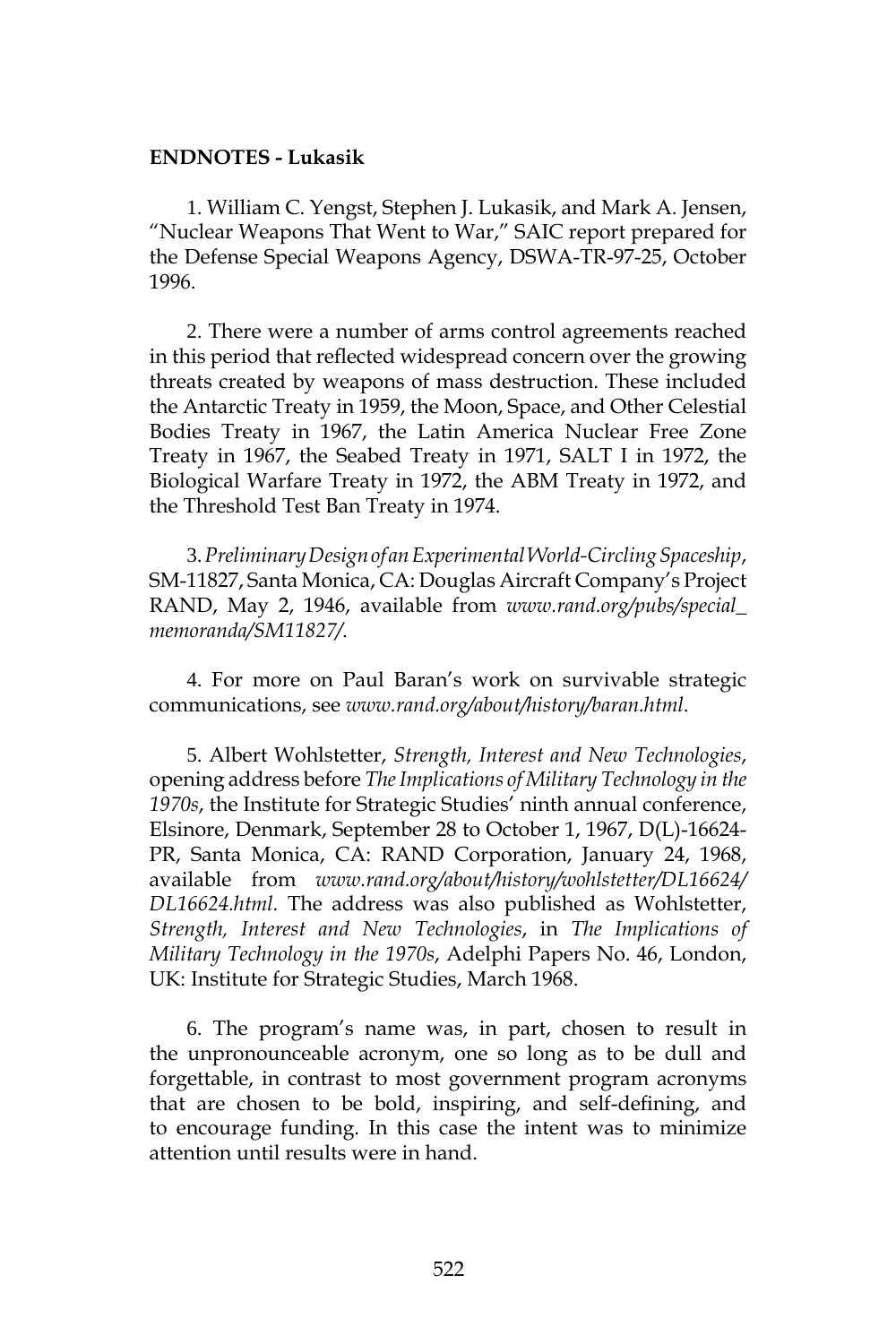#### **ENDNOTES - Lukasik**

1. William C. Yengst, Stephen J. Lukasik, and Mark A. Jensen, "Nuclear Weapons That Went to War," SAIC report prepared for the Defense Special Weapons Agency, DSWA-TR-97-25, October 1996.

2. There were a number of arms control agreements reached in this period that reflected widespread concern over the growing threats created by weapons of mass destruction. These included the Antarctic Treaty in 1959, the Moon, Space, and Other Celestial Bodies Treaty in 1967, the Latin America Nuclear Free Zone Treaty in 1967, the Seabed Treaty in 1971, SALT I in 1972, the Biological Warfare Treaty in 1972, the ABM Treaty in 1972, and the Threshold Test Ban Treaty in 1974.

3. *Preliminary Design of an Experimental World-Circling Spaceship*, SM-11827, Santa Monica, CA: Douglas Aircraft Company's Project RAND, May 2, 1946, available from *www.rand.org/pubs/special\_ memoranda/SM11827/*.

4. For more on Paul Baran's work on survivable strategic communications, see *www.rand.org/about/history/baran.html*.

5. Albert Wohlstetter, *Strength, Interest and New Technologies*, opening address before *The Implications of Military Technology in the 1970s*, the Institute for Strategic Studies' ninth annual conference, Elsinore, Denmark, September 28 to October 1, 1967, D(L)-16624- PR, Santa Monica, CA: RAND Corporation, January 24, 1968, available from *www.rand.org/about/history/wohlstetter/DL16624/ DL16624.html.* The address was also published as Wohlstetter, *Strength, Interest and New Technologies*, in *The Implications of Military Technology in the 1970s*, Adelphi Papers No. 46, London, UK: Institute for Strategic Studies, March 1968.

6. The program's name was, in part, chosen to result in the unpronounceable acronym, one so long as to be dull and forgettable, in contrast to most government program acronyms that are chosen to be bold, inspiring, and self-defining, and to encourage funding. In this case the intent was to minimize attention until results were in hand.